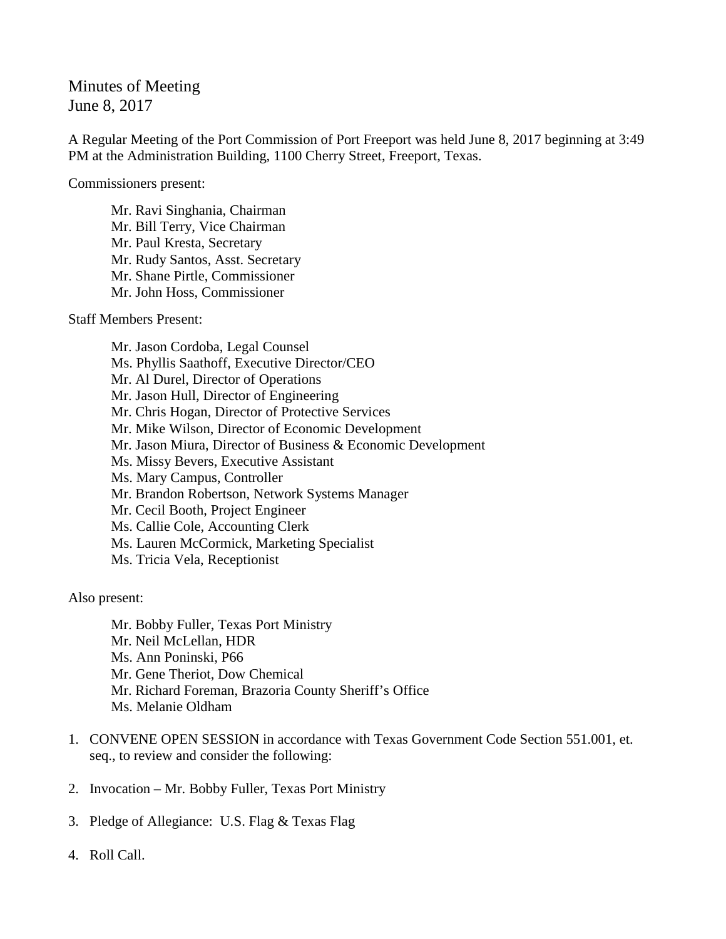Minutes of Meeting June 8, 2017

A Regular Meeting of the Port Commission of Port Freeport was held June 8, 2017 beginning at 3:49 PM at the Administration Building, 1100 Cherry Street, Freeport, Texas.

Commissioners present:

Mr. Ravi Singhania, Chairman Mr. Bill Terry, Vice Chairman Mr. Paul Kresta, Secretary Mr. Rudy Santos, Asst. Secretary Mr. Shane Pirtle, Commissioner Mr. John Hoss, Commissioner

Staff Members Present:

Mr. Jason Cordoba, Legal Counsel Ms. Phyllis Saathoff, Executive Director/CEO Mr. Al Durel, Director of Operations Mr. Jason Hull, Director of Engineering Mr. Chris Hogan, Director of Protective Services Mr. Mike Wilson, Director of Economic Development Mr. Jason Miura, Director of Business & Economic Development Ms. Missy Bevers, Executive Assistant Ms. Mary Campus, Controller Mr. Brandon Robertson, Network Systems Manager Mr. Cecil Booth, Project Engineer Ms. Callie Cole, Accounting Clerk Ms. Lauren McCormick, Marketing Specialist Ms. Tricia Vela, Receptionist

Also present:

Mr. Bobby Fuller, Texas Port Ministry Mr. Neil McLellan, HDR Ms. Ann Poninski, P66 Mr. Gene Theriot, Dow Chemical Mr. Richard Foreman, Brazoria County Sheriff's Office Ms. Melanie Oldham

- 1. CONVENE OPEN SESSION in accordance with Texas Government Code Section 551.001, et. seq., to review and consider the following:
- 2. Invocation Mr. Bobby Fuller, Texas Port Ministry
- 3. Pledge of Allegiance: U.S. Flag & Texas Flag
- 4. Roll Call.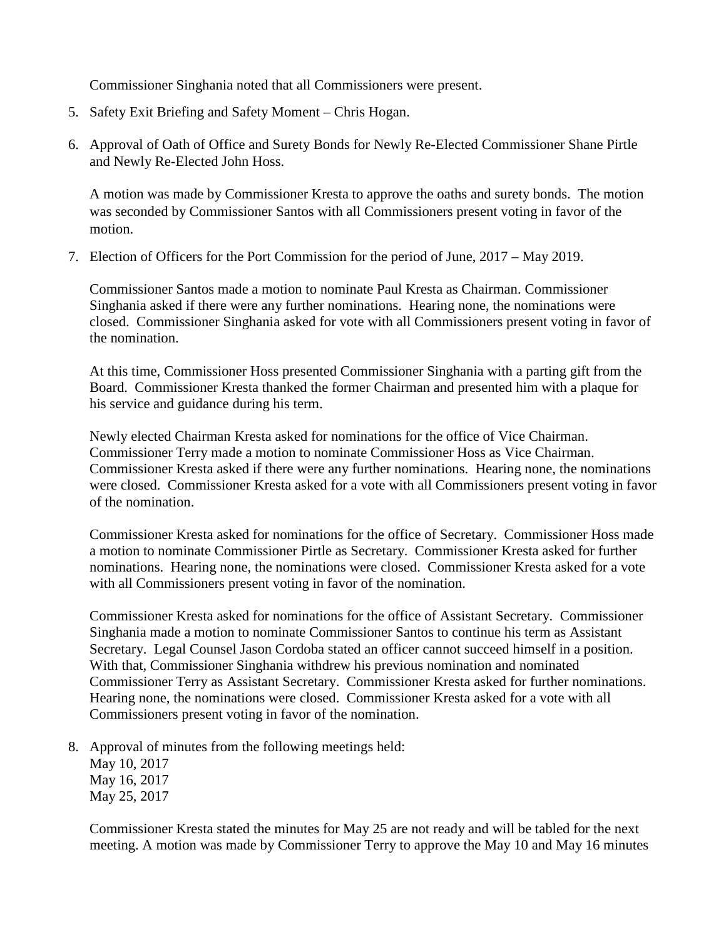Commissioner Singhania noted that all Commissioners were present.

- 5. Safety Exit Briefing and Safety Moment Chris Hogan.
- 6. Approval of Oath of Office and Surety Bonds for Newly Re-Elected Commissioner Shane Pirtle and Newly Re-Elected John Hoss.

A motion was made by Commissioner Kresta to approve the oaths and surety bonds. The motion was seconded by Commissioner Santos with all Commissioners present voting in favor of the motion.

7. Election of Officers for the Port Commission for the period of June, 2017 – May 2019.

Commissioner Santos made a motion to nominate Paul Kresta as Chairman. Commissioner Singhania asked if there were any further nominations. Hearing none, the nominations were closed. Commissioner Singhania asked for vote with all Commissioners present voting in favor of the nomination.

At this time, Commissioner Hoss presented Commissioner Singhania with a parting gift from the Board. Commissioner Kresta thanked the former Chairman and presented him with a plaque for his service and guidance during his term.

Newly elected Chairman Kresta asked for nominations for the office of Vice Chairman. Commissioner Terry made a motion to nominate Commissioner Hoss as Vice Chairman. Commissioner Kresta asked if there were any further nominations. Hearing none, the nominations were closed. Commissioner Kresta asked for a vote with all Commissioners present voting in favor of the nomination.

Commissioner Kresta asked for nominations for the office of Secretary. Commissioner Hoss made a motion to nominate Commissioner Pirtle as Secretary. Commissioner Kresta asked for further nominations. Hearing none, the nominations were closed. Commissioner Kresta asked for a vote with all Commissioners present voting in favor of the nomination.

Commissioner Kresta asked for nominations for the office of Assistant Secretary. Commissioner Singhania made a motion to nominate Commissioner Santos to continue his term as Assistant Secretary. Legal Counsel Jason Cordoba stated an officer cannot succeed himself in a position. With that, Commissioner Singhania withdrew his previous nomination and nominated Commissioner Terry as Assistant Secretary. Commissioner Kresta asked for further nominations. Hearing none, the nominations were closed. Commissioner Kresta asked for a vote with all Commissioners present voting in favor of the nomination.

8. Approval of minutes from the following meetings held:

May 10, 2017 May 16, 2017 May 25, 2017

Commissioner Kresta stated the minutes for May 25 are not ready and will be tabled for the next meeting. A motion was made by Commissioner Terry to approve the May 10 and May 16 minutes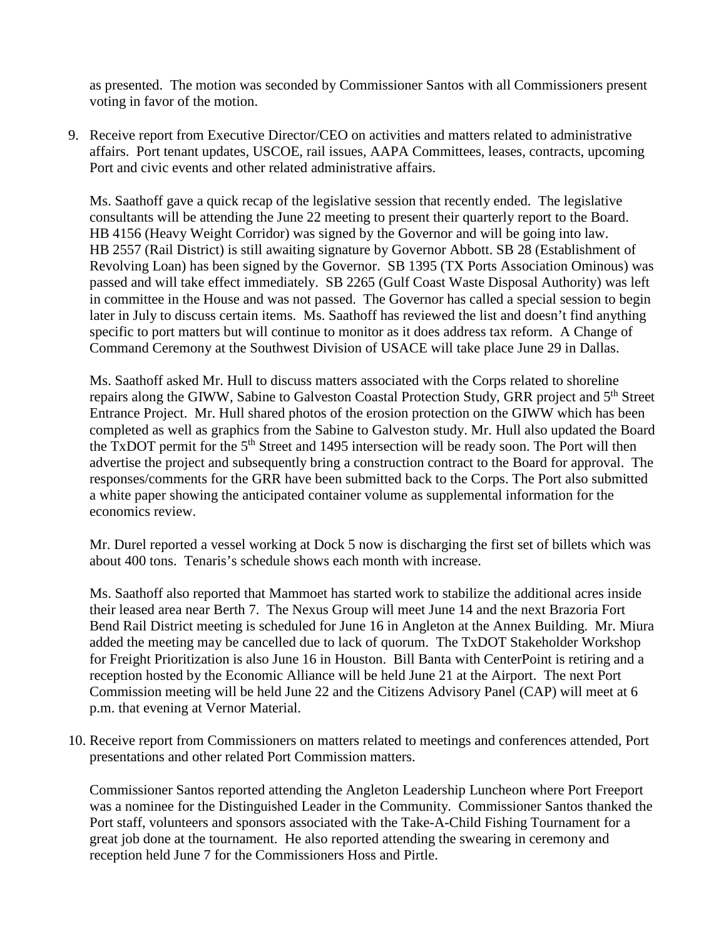as presented. The motion was seconded by Commissioner Santos with all Commissioners present voting in favor of the motion.

9. Receive report from Executive Director/CEO on activities and matters related to administrative affairs. Port tenant updates, USCOE, rail issues, AAPA Committees, leases, contracts, upcoming Port and civic events and other related administrative affairs.

Ms. Saathoff gave a quick recap of the legislative session that recently ended. The legislative consultants will be attending the June 22 meeting to present their quarterly report to the Board. HB 4156 (Heavy Weight Corridor) was signed by the Governor and will be going into law. HB 2557 (Rail District) is still awaiting signature by Governor Abbott. SB 28 (Establishment of Revolving Loan) has been signed by the Governor. SB 1395 (TX Ports Association Ominous) was passed and will take effect immediately. SB 2265 (Gulf Coast Waste Disposal Authority) was left in committee in the House and was not passed. The Governor has called a special session to begin later in July to discuss certain items. Ms. Saathoff has reviewed the list and doesn't find anything specific to port matters but will continue to monitor as it does address tax reform. A Change of Command Ceremony at the Southwest Division of USACE will take place June 29 in Dallas.

Ms. Saathoff asked Mr. Hull to discuss matters associated with the Corps related to shoreline repairs along the GIWW, Sabine to Galveston Coastal Protection Study, GRR project and 5th Street Entrance Project. Mr. Hull shared photos of the erosion protection on the GIWW which has been completed as well as graphics from the Sabine to Galveston study. Mr. Hull also updated the Board the TxDOT permit for the 5<sup>th</sup> Street and 1495 intersection will be ready soon. The Port will then advertise the project and subsequently bring a construction contract to the Board for approval. The responses/comments for the GRR have been submitted back to the Corps. The Port also submitted a white paper showing the anticipated container volume as supplemental information for the economics review.

Mr. Durel reported a vessel working at Dock 5 now is discharging the first set of billets which was about 400 tons. Tenaris's schedule shows each month with increase.

Ms. Saathoff also reported that Mammoet has started work to stabilize the additional acres inside their leased area near Berth 7. The Nexus Group will meet June 14 and the next Brazoria Fort Bend Rail District meeting is scheduled for June 16 in Angleton at the Annex Building. Mr. Miura added the meeting may be cancelled due to lack of quorum. The TxDOT Stakeholder Workshop for Freight Prioritization is also June 16 in Houston. Bill Banta with CenterPoint is retiring and a reception hosted by the Economic Alliance will be held June 21 at the Airport. The next Port Commission meeting will be held June 22 and the Citizens Advisory Panel (CAP) will meet at 6 p.m. that evening at Vernor Material.

10. Receive report from Commissioners on matters related to meetings and conferences attended, Port presentations and other related Port Commission matters.

Commissioner Santos reported attending the Angleton Leadership Luncheon where Port Freeport was a nominee for the Distinguished Leader in the Community. Commissioner Santos thanked the Port staff, volunteers and sponsors associated with the Take-A-Child Fishing Tournament for a great job done at the tournament. He also reported attending the swearing in ceremony and reception held June 7 for the Commissioners Hoss and Pirtle.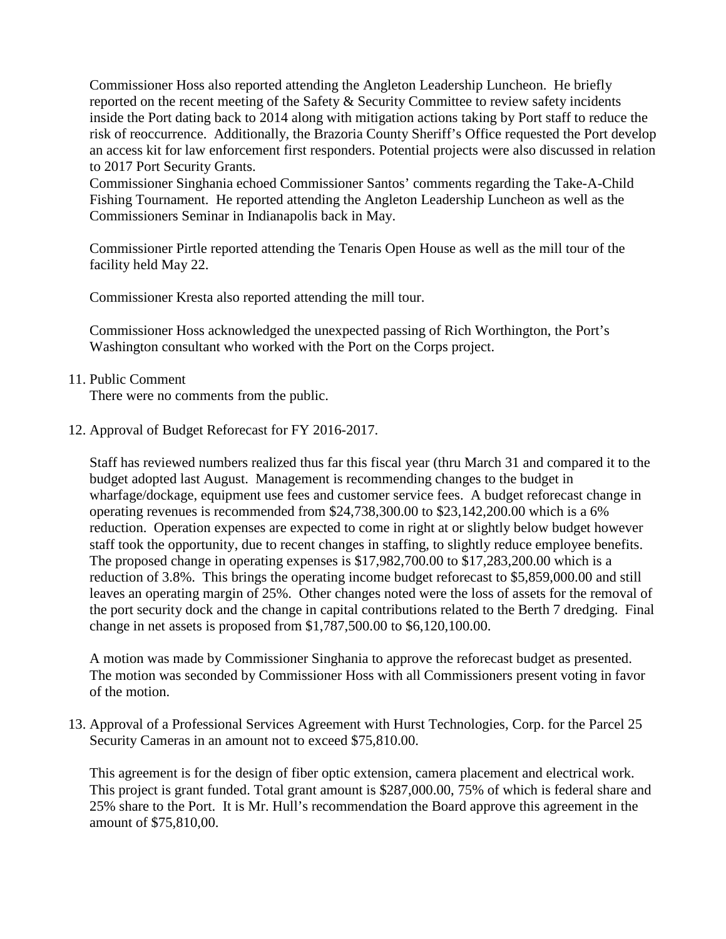Commissioner Hoss also reported attending the Angleton Leadership Luncheon. He briefly reported on the recent meeting of the Safety & Security Committee to review safety incidents inside the Port dating back to 2014 along with mitigation actions taking by Port staff to reduce the risk of reoccurrence. Additionally, the Brazoria County Sheriff's Office requested the Port develop an access kit for law enforcement first responders. Potential projects were also discussed in relation to 2017 Port Security Grants.

Commissioner Singhania echoed Commissioner Santos' comments regarding the Take-A-Child Fishing Tournament. He reported attending the Angleton Leadership Luncheon as well as the Commissioners Seminar in Indianapolis back in May.

Commissioner Pirtle reported attending the Tenaris Open House as well as the mill tour of the facility held May 22.

Commissioner Kresta also reported attending the mill tour.

Commissioner Hoss acknowledged the unexpected passing of Rich Worthington, the Port's Washington consultant who worked with the Port on the Corps project.

11. Public Comment

There were no comments from the public.

12. Approval of Budget Reforecast for FY 2016-2017.

Staff has reviewed numbers realized thus far this fiscal year (thru March 31 and compared it to the budget adopted last August. Management is recommending changes to the budget in wharfage/dockage, equipment use fees and customer service fees. A budget reforecast change in operating revenues is recommended from \$24,738,300.00 to \$23,142,200.00 which is a 6% reduction. Operation expenses are expected to come in right at or slightly below budget however staff took the opportunity, due to recent changes in staffing, to slightly reduce employee benefits. The proposed change in operating expenses is \$17,982,700.00 to \$17,283,200.00 which is a reduction of 3.8%. This brings the operating income budget reforecast to \$5,859,000.00 and still leaves an operating margin of 25%. Other changes noted were the loss of assets for the removal of the port security dock and the change in capital contributions related to the Berth 7 dredging. Final change in net assets is proposed from \$1,787,500.00 to \$6,120,100.00.

A motion was made by Commissioner Singhania to approve the reforecast budget as presented. The motion was seconded by Commissioner Hoss with all Commissioners present voting in favor of the motion.

13. Approval of a Professional Services Agreement with Hurst Technologies, Corp. for the Parcel 25 Security Cameras in an amount not to exceed \$75,810.00.

This agreement is for the design of fiber optic extension, camera placement and electrical work. This project is grant funded. Total grant amount is \$287,000.00, 75% of which is federal share and 25% share to the Port. It is Mr. Hull's recommendation the Board approve this agreement in the amount of \$75,810,00.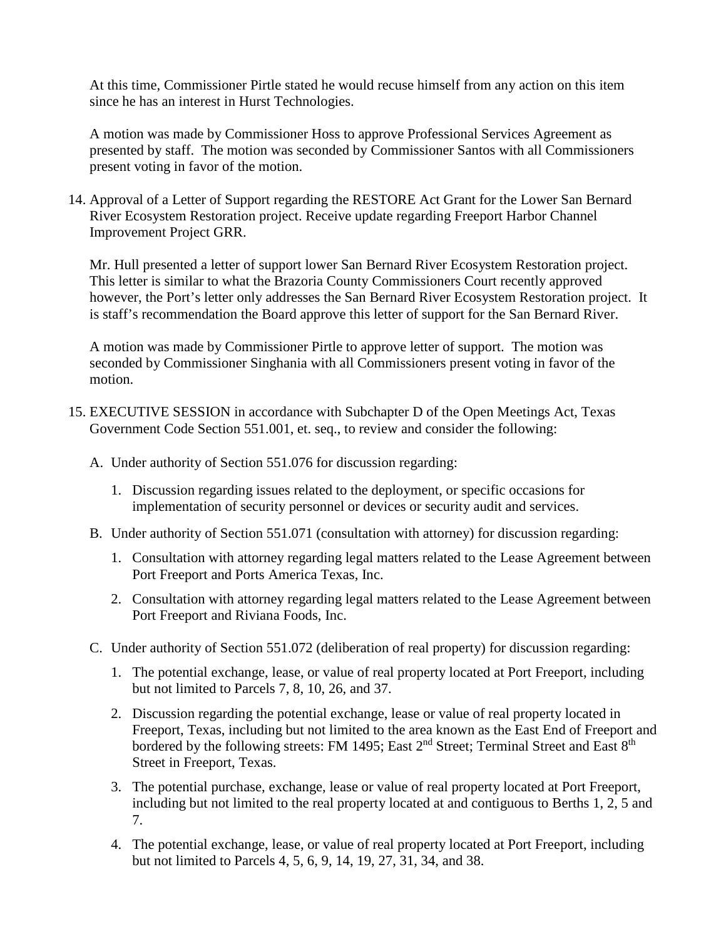At this time, Commissioner Pirtle stated he would recuse himself from any action on this item since he has an interest in Hurst Technologies.

A motion was made by Commissioner Hoss to approve Professional Services Agreement as presented by staff. The motion was seconded by Commissioner Santos with all Commissioners present voting in favor of the motion.

14. Approval of a Letter of Support regarding the RESTORE Act Grant for the Lower San Bernard River Ecosystem Restoration project. Receive update regarding Freeport Harbor Channel Improvement Project GRR.

Mr. Hull presented a letter of support lower San Bernard River Ecosystem Restoration project. This letter is similar to what the Brazoria County Commissioners Court recently approved however, the Port's letter only addresses the San Bernard River Ecosystem Restoration project. It is staff's recommendation the Board approve this letter of support for the San Bernard River.

A motion was made by Commissioner Pirtle to approve letter of support. The motion was seconded by Commissioner Singhania with all Commissioners present voting in favor of the motion.

- 15. EXECUTIVE SESSION in accordance with Subchapter D of the Open Meetings Act, Texas Government Code Section 551.001, et. seq., to review and consider the following:
	- A. Under authority of Section 551.076 for discussion regarding:
		- 1. Discussion regarding issues related to the deployment, or specific occasions for implementation of security personnel or devices or security audit and services.
	- B. Under authority of Section 551.071 (consultation with attorney) for discussion regarding:
		- 1. Consultation with attorney regarding legal matters related to the Lease Agreement between Port Freeport and Ports America Texas, Inc.
		- 2. Consultation with attorney regarding legal matters related to the Lease Agreement between Port Freeport and Riviana Foods, Inc.
	- C. Under authority of Section 551.072 (deliberation of real property) for discussion regarding:
		- 1. The potential exchange, lease, or value of real property located at Port Freeport, including but not limited to Parcels 7, 8, 10, 26, and 37.
		- 2. Discussion regarding the potential exchange, lease or value of real property located in Freeport, Texas, including but not limited to the area known as the East End of Freeport and bordered by the following streets: FM 1495; East 2<sup>nd</sup> Street; Terminal Street and East 8<sup>th</sup> Street in Freeport, Texas.
		- 3. The potential purchase, exchange, lease or value of real property located at Port Freeport, including but not limited to the real property located at and contiguous to Berths 1, 2, 5 and 7.
		- 4. The potential exchange, lease, or value of real property located at Port Freeport, including but not limited to Parcels 4, 5, 6, 9, 14, 19, 27, 31, 34, and 38.